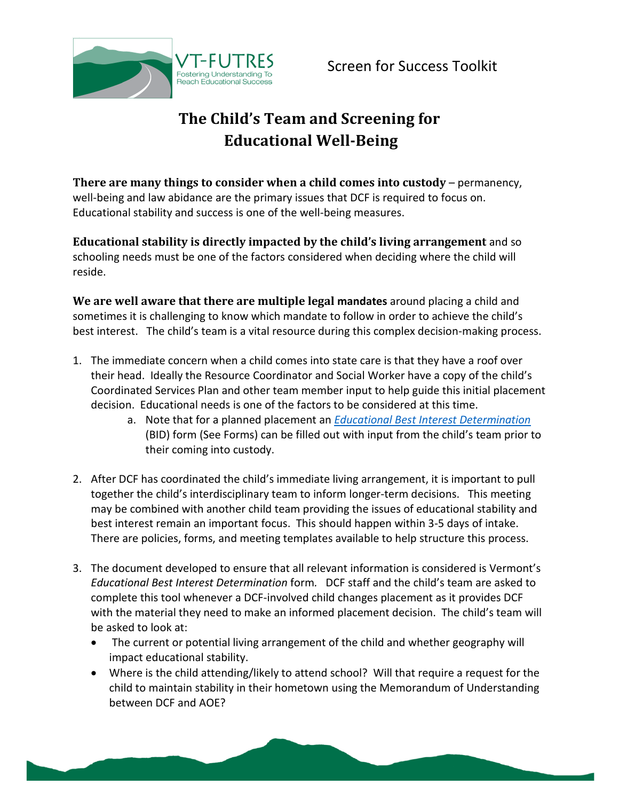

## **The Child's Team and Screening for Educational Well-Being**

**There are many things to consider when a child comes into custody** – permanency, well-being and law abidance are the primary issues that DCF is required to focus on. Educational stability and success is one of the well-being measures.

**Educational stability is directly impacted by the child's living arrangement** and so schooling needs must be one of the factors considered when deciding where the child will reside.

**We are well aware that there are multiple legal mandates** around placing a child and sometimes it is challenging to know which mandate to follow in order to achieve the child's best interest. The child's team is a vital resource during this complex decision-making process.

- 1. The immediate concern when a child comes into state care is that they have a roof over their head. Ideally the Resource Coordinator and Social Worker have a copy of the child's Coordinated Services Plan and other team member input to help guide this initial placement decision. Educational needs is one of the factors to be considered at this time.
	- a. Note that for a planned placement an *[Educational Best Interest Determination](http://vtfutres.org/grades-toolkit/screen-for-success/attachment/education-best-interest-determination-evaluation-form1-14/)* (BID) form (See Forms) can be filled out with input from the child's team prior to their coming into custody.
- 2. After DCF has coordinated the child's immediate living arrangement, it is important to pull together the child's interdisciplinary team to inform longer-term decisions. This meeting may be combined with another child team providing the issues of educational stability and best interest remain an important focus. This should happen within 3-5 days of intake. There are policies, forms, and meeting templates available to help structure this process.
- 3. The document developed to ensure that all relevant information is considered is Vermont's *Educational Best Interest Determination* form*.* DCF staff and the child's team are asked to complete this tool whenever a DCF-involved child changes placement as it provides DCF with the material they need to make an informed placement decision. The child's team will be asked to look at:
	- The current or potential living arrangement of the child and whether geography will impact educational stability.
	- Where is the child attending/likely to attend school? Will that require a request for the child to maintain stability in their hometown using the Memorandum of Understanding between DCF and AOE?